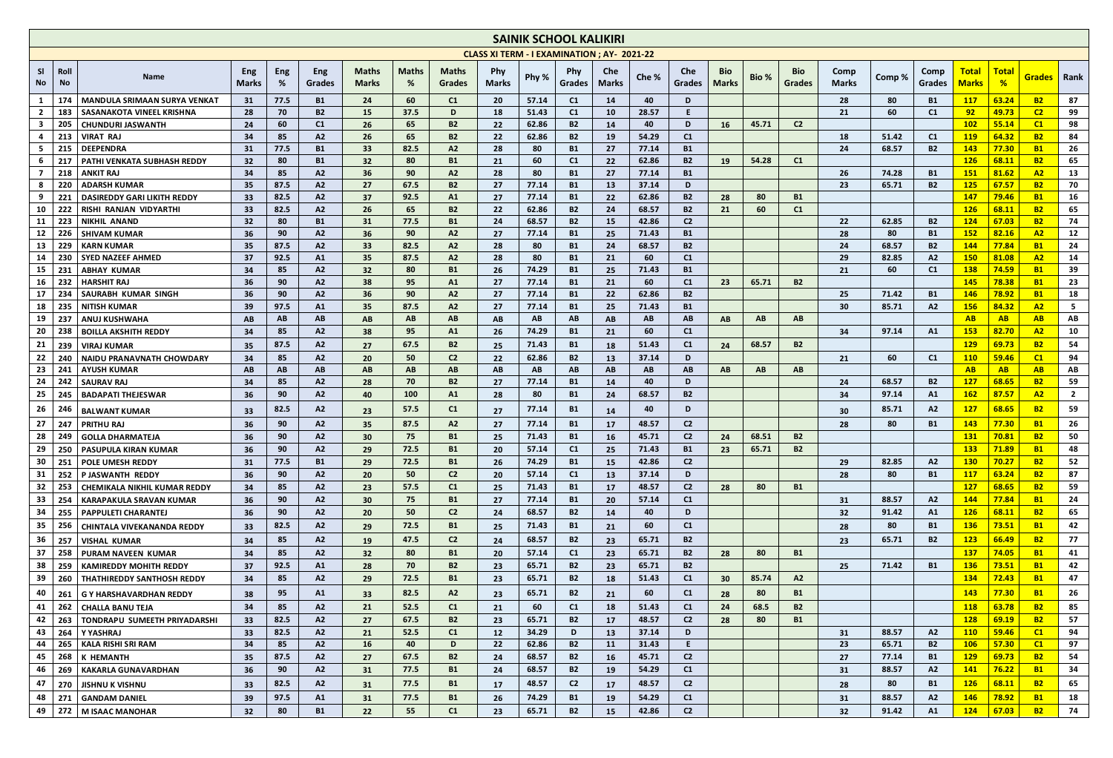|              |                   |                                                 |                                                                                                                                                                                 |            |                        |                       |            |                 |              | <b>SAINIK SCHOOL KALIKIRI</b> |                        |                         |                |                 |                 |           |                      |                      |                |                             |                              |                        |                        |                |
|--------------|-------------------|-------------------------------------------------|---------------------------------------------------------------------------------------------------------------------------------------------------------------------------------|------------|------------------------|-----------------------|------------|-----------------|--------------|-------------------------------|------------------------|-------------------------|----------------|-----------------|-----------------|-----------|----------------------|----------------------|----------------|-----------------------------|------------------------------|------------------------|------------------------|----------------|
|              |                   |                                                 | <b>CLASS XI TERM - I EXAMINATION ; AY- 2021-22</b><br>Eng<br><b>Maths</b><br><b>Maths</b><br>Che<br>Eng<br>Eng<br><b>Maths</b><br><b>Phy</b><br><b>Bio</b><br><b>Phy</b><br>Che |            |                        |                       |            |                 |              |                               |                        |                         |                |                 |                 |           |                      |                      |                |                             |                              |                        |                        |                |
| SI<br>No.    | Roll<br><b>No</b> | <b>Name</b>                                     | <b>Marks</b>                                                                                                                                                                    | %          | Grades                 | <b>Marks</b>          | %          | Grades          | <b>Marks</b> | Phy %                         | Grades                 | <b>Marks</b>            | Che %          | <b>Grades</b>   | <b>Marks</b>    | Bio %     | <b>Bio</b><br>Grades | Comp<br><b>Marks</b> | Comp%          | Comp<br>Grades              | <b>Total</b><br><b>Marks</b> | Total<br>$\frac{9}{6}$ | <b>Grades</b> Rank     |                |
| 1            | 174               | <b>MANDULA SRIMAAN SURYA VENKAT</b>             | 31                                                                                                                                                                              | 77.5       | <b>B1</b>              | 24                    | 60         | C1              | <b>20</b>    | 57.14                         | C1                     | 14                      | 40             | D               |                 |           |                      | 28                   | 80             | <b>B1</b>                   | <b>117</b>                   | 63.24                  | <b>B2</b>              | 87             |
| $\mathbf{2}$ | 183               | <b>SASANAKOTA VINEEL KRISHNA</b>                | 28                                                                                                                                                                              | 70         | <b>B2</b>              | 15                    | 37.5       | D               | 18           | 51.43                         | C1                     | 10                      | 28.57          | E               |                 |           |                      | 21                   | 60             | C <sub>1</sub>              | 92                           | 49.73                  | C <sub>2</sub>         | 99             |
| $\mathbf{3}$ | 205               | <b>CHUNDURI JASWANTH</b>                        | 24                                                                                                                                                                              | 60         | C <sub>1</sub>         | 26                    | 65         | B2              | 22           | 62.86                         | <b>B2</b>              | 14                      | 40             | D               | <b>16</b>       | 45.71     | C <sub>2</sub>       |                      |                |                             | <b>102</b>                   | 55.14                  | C1                     | 98             |
| 4            | 213               | <b>VIRAT RAJ</b>                                | 34                                                                                                                                                                              | 85<br>77.5 | A2                     | 26                    | 65<br>82.5 | <b>B2</b>       | 22           | 62.86                         | <b>B2</b>              | 19                      | 54.29<br>77.14 | C1<br><b>B1</b> |                 |           |                      | 18                   | 51.42<br>68.57 | C <sub>1</sub><br><b>B2</b> | <b>119</b><br><b>143</b>     | 64.32<br>77.30         | <b>B2</b>              | 84             |
| 5<br>-6      | 215<br>217        | <b>DEEPENDRA</b><br>PATHI VENKATA SUBHASH REDDY | 31<br>32                                                                                                                                                                        | 80         | <b>B1</b><br><b>B1</b> | 33<br>32 <sub>2</sub> | 80         | A2<br><b>B1</b> | 28<br>21     | 80<br>60                      | <b>B1</b><br>C1        | 27<br>$22 \overline{ }$ | 62.86          | <b>B2</b>       | <b>19</b>       | 54.28     | C1                   | 24                   |                |                             | <b>126</b>                   | 68.11                  | <b>B1</b><br><b>B2</b> | 26<br>65       |
|              | 218               | <b>ANKIT RAJ</b>                                | 34                                                                                                                                                                              | 85         | A2                     | 36                    | 90         | A2              | 28           | 80                            | <b>B1</b>              | 27                      | 77.14          | <b>B1</b>       |                 |           |                      | 26                   | 74.28          | <b>B1</b>                   | <b>151</b>                   | 81.62                  | A2                     | 13             |
| 8            | 220               | <b>ADARSH KUMAR</b>                             | 35                                                                                                                                                                              | 87.5       | A2                     | 27                    | 67.5       | B2              | 27           | 77.14                         | <b>B1</b>              | 13                      | 37.14          | D               |                 |           |                      | 23                   | 65.71          | <b>B2</b>                   | <b>125</b>                   | 67.57                  | <b>B2</b>              | 70             |
| 9            | 221               | <b>DASIREDDY GARI LIKITH REDDY</b>              | 33                                                                                                                                                                              | 82.5       | A2                     | 37                    | 92.5       | A1              | 27           | 77.14                         | <b>B1</b>              | 22                      | 62.86          | <b>B2</b>       | 28              | 80        | <b>B1</b>            |                      |                |                             | <b>147</b>                   | 79.46                  | <b>B1</b>              | 16             |
| 10           | 222               | RISHI RANJAN VIDYARTHI                          | 33                                                                                                                                                                              | 82.5       | A2                     | 26                    | 65         | B2              | 22           | 62.86                         | <b>B2</b>              | 24                      | 68.57          | <b>B2</b>       | 21              | 60        | C1                   |                      |                |                             | <b>126</b>                   | 68.11                  | <b>B2</b>              | 65             |
| 11           | 223               | <b>NIKHIL ANAND</b>                             | 32                                                                                                                                                                              | 80         | <b>B1</b>              | 31                    | 77.5       | B1              | 24           | 68.57                         | <b>B2</b>              | 15                      | 42.86          | C <sub>2</sub>  |                 |           |                      | 22                   | 62.85          | <b>B2</b>                   | <b>124</b>                   | 67.03                  | <b>B2</b>              | 74             |
| 12           | 226               | <b>SHIVAM KUMAR</b>                             | 36                                                                                                                                                                              | 90         | A2                     | 36                    | 90         | A2              | 27           | 77.14                         | <b>B1</b>              | 25                      | 71.43          | <b>B1</b>       |                 |           |                      | 28                   | 80             | <b>B1</b>                   | 152                          | 82.16                  | A2                     | 12             |
| 13           | 229               | <b>KARN KUMAR</b>                               | 35                                                                                                                                                                              | 87.5       | A2                     | 33                    | 82.5       | A2              | 28           | 80                            | <b>B1</b>              | 24                      | 68.57          | <b>B2</b>       |                 |           |                      | 24                   | 68.57          | <b>B2</b>                   | 144                          | 77.84                  | <b>B1</b>              | 24             |
| 14           | 230               | SYED NAZEEF AHMED                               | 37                                                                                                                                                                              | 92.5       | A1                     | 35                    | 87.5       | A2              | 28           | 80                            | <b>B1</b>              | 21                      | 60             | C1              |                 |           |                      | 29                   | 82.85          | A <sub>2</sub>              | <b>150</b>                   | 81.08                  | <b>A2</b>              | 14             |
| 15<br>16     | 231<br>232        | <b>ABHAY KUMAR</b><br><b>HARSHIT RAJ</b>        | 34<br>36                                                                                                                                                                        | 85<br>90   | A2<br>A2               | 32 <sub>2</sub><br>38 | 80<br>95   | B1<br>A1        | 26<br>27     | 74.29<br>77.14                | <b>B1</b><br><b>B1</b> | 25<br>21                | 71.43<br>60    | <b>B1</b><br>C1 | 23              | 65.71     | <b>B2</b>            | 21                   | 60             | C <sub>1</sub>              | <b>138</b><br><b>145</b>     | 74.59<br>78.38         | <b>B1</b><br><b>B1</b> | 39<br>23       |
| 17           | 234               | <b>SAURABH KUMAR SINGH</b>                      | 36                                                                                                                                                                              | 90         | A2                     | 36                    | 90         | A2              | 27           | 77.14                         | <b>B1</b>              | 22                      | 62.86          | <b>B2</b>       |                 |           |                      | 25                   | 71.42          | <b>B1</b>                   | <b>146</b>                   | 78.92                  | <b>B1</b>              | 18             |
| 18           | 235               | <b>NITISH KUMAR</b>                             | 39                                                                                                                                                                              | 97.5       | A1                     | 35                    | 87.5       | A2              | 27           | 77.14                         | <b>B1</b>              | 25                      | 71.43          | <b>B1</b>       |                 |           |                      | 30                   | 85.71          | A <sub>2</sub>              | <b>156</b>                   | 84.32                  | <b>A2</b>              | 5              |
| 19           | 237               | <b>ANUJ KUSHWAHA</b>                            | AB                                                                                                                                                                              | <b>AB</b>  | AB                     | AB                    | AB         | AB              | AB           | <b>AB</b>                     | AB                     | AB                      | AB             | AB              | AB              | <b>AB</b> | AB                   |                      |                |                             | AB                           | AB                     | AB                     | AB             |
| 20           | 238               | <b>BOILLA AKSHITH REDDY</b>                     | 34                                                                                                                                                                              | 85         | A2                     | 38                    | 95         | A1              | 26           | 74.29                         | <b>B1</b>              | 21                      | 60             | C1              |                 |           |                      | 34                   | 97.14          | A1                          | <b>153</b>                   | 82.70                  | A2                     | 10             |
| 21           | 239               | <b>VIRAJ KUMAR</b>                              | 35                                                                                                                                                                              | 87.5       | A2                     | 27                    | 67.5       | B2              | 25           | 71.43                         | <b>B1</b>              | 18                      | 51.43          | C1              | 24              | 68.57     | <b>B2</b>            |                      |                |                             | <b>129</b>                   | 69.73                  | <b>B2</b>              | 54             |
| 22           |                   | <b>NAIDU PRANAVNATH CHOWDARY</b>                | 34                                                                                                                                                                              | 85         | A2                     | 20                    | 50         | C <sub>2</sub>  | 22           | 62.86                         | <b>B2</b>              | 13                      | 37.14          | D               |                 |           |                      | 21                   | 60             | C <sub>1</sub>              | <b>110</b>                   | 59.46                  | C1                     | 94             |
| 23           | 241               | <b>AYUSH KUMAR</b>                              | AB                                                                                                                                                                              | <b>AB</b>  | AB                     | AB                    | AB.        | AB              | AB           | AB                            | AB.                    | AB                      | <b>AB</b>      | AB              | AB.             | <b>AB</b> | AB.                  |                      |                |                             | AB                           | AB                     | <b>AB</b>              | AB             |
| 24           | 242               | <b>SAURAV RAJ</b>                               | 34                                                                                                                                                                              | 85         | A2                     | 28                    | 70         | B2              | 27           | 77.14                         | <b>B1</b>              | 14                      | 40             | D               |                 |           |                      | 24                   | 68.57          | <b>B2</b>                   | <u>127</u>                   | 68.65                  | <b>B2</b>              | 59             |
| 25           |                   | <b>BADAPATI THEJESWAR</b>                       | 36                                                                                                                                                                              | 90         | A2                     | 40                    | 100        | A1              | 28           | 80                            | <b>B1</b>              | 24                      | 68.57          | <b>B2</b>       |                 |           |                      | 34                   | 97.14          | A1                          | <b>162</b>                   | 87.57                  | A2                     | $\overline{2}$ |
| 26           | 246               | <b>BALWANT KUMAR</b>                            | 33                                                                                                                                                                              | 82.5       | A2                     | 23                    | 57.5       | C1              | 27           | 77.14                         | <b>B1</b>              | 14                      | 40             | D               |                 |           |                      | 30                   | 85.71          | A2                          | 127                          | 68.65                  | <b>B2</b>              | 59             |
| 27           | 247               | <b>PRITHU RAJ</b>                               | 36                                                                                                                                                                              | 90         | A2                     | 35 <sub>2</sub>       | 87.5       | A2              | 27           | 77.14                         | <b>B1</b>              | 17                      | 48.57          | C <sub>2</sub>  |                 |           |                      | 28                   | 80             | <b>B1</b>                   | <b>143</b>                   | 77.30                  | <b>B1</b>              | 26             |
| 28           | 249               | <b>GOLLA DHARMATEJA</b>                         | 36                                                                                                                                                                              | 90         | A2                     | 30                    | 75         | B1              | 25           | 71.43                         | <b>B1</b>              | 16                      | 45.71          | C <sub>2</sub>  | 24              | 68.51     | <b>B2</b>            |                      |                |                             | <b>131</b>                   | 70.81                  | <b>B2</b>              | 50             |
| 29           | 250               | <b>PASUPULA KIRAN KUMAR</b>                     | 36                                                                                                                                                                              | 90         | A2                     | 29                    | 72.5       | B1              | 20           | 57.14                         | C1                     | 25                      | 71.43          | <b>B1</b>       | 23              | 65.71     | <b>B2</b>            |                      |                |                             | <b>133</b>                   | 71.89                  | <b>B1</b>              | 48             |
| 30           | 251               | <b>POLE UMESH REDDY</b>                         | 31                                                                                                                                                                              | 77.5       | <b>B1</b>              | 29                    | 72.5       | <b>B1</b>       | 26           | 74.29                         | <b>B1</b>              | 15                      | 42.86          | C <sub>2</sub>  |                 |           |                      | 29                   | 82.85          | A2                          | <b>130</b>                   | 70.27                  | <b>B2</b>              | 52             |
| 31           | 252               | P JASWANTH REDDY                                | 36                                                                                                                                                                              | 90         | A2                     | 20 <sup>°</sup>       | 50         | C <sub>2</sub>  | 20           | 57.14                         | C1                     | 13                      | 37.14          | D               |                 |           |                      | 28                   | 80             | <b>B1</b>                   | <b>117</b>                   | 63.24                  | <b>B2</b>              | 87             |
| 32           | 253               | CHEMIKALA NIKHIL KUMAR REDDY                    | 34                                                                                                                                                                              | 85         | A2                     | 23                    | 57.5       | C1              | 25           | 71.43                         | <b>B1</b>              | 17                      | 48.57          | C <sub>2</sub>  | 28              | 80        | <b>B1</b>            |                      |                |                             | <b>127</b>                   | 68.65                  | <b>B2</b>              | 59             |
| 33           | 254               | <b>KARAPAKULA SRAVAN KUMAR</b>                  | 36                                                                                                                                                                              | 90         | A2                     | 30                    | 75         | B1              | 27           | 77.14                         | <b>B1</b>              | 20                      | 57.14          | C1              |                 |           |                      | 31                   | 88.57          | A2                          | <b>144</b>                   | 77.84                  | <b>B1</b>              | 24             |
| 34           | 255               | <b>PAPPULETI CHARANTEJ</b>                      | 36                                                                                                                                                                              | 90         | A2                     | 20                    | 50         | C <sub>2</sub>  | 24           | 68.57                         | <b>B2</b>              | 14                      | 40             | D               |                 |           |                      | 32                   | 91.42          | A1                          | 126                          | 68.11                  | <b>B2</b>              | 65             |
| 35           | 256               | <b>CHINTALA VIVEKANANDA REDDY</b>               | 33                                                                                                                                                                              | 82.5       | A2                     | 29                    | 72.5       | <b>B1</b>       | 25           | 71.43                         | <b>B1</b>              | 21                      | 60             | C1              |                 |           |                      | 28                   | 80             | <b>B1</b>                   | <b>136</b>                   | 73.51                  | <b>B1</b>              | 42             |
| 36           | 257               | <b>VISHAL KUMAR</b>                             | 34                                                                                                                                                                              | 85         | A2                     | 19                    | 47.5       | C <sub>2</sub>  | 24           | 68.57                         | <b>B2</b>              | 23                      | 65.71          | <b>B2</b>       |                 |           |                      | 23                   | 65.71          | <b>B2</b>                   | 123                          | 66.49                  | <b>B2</b>              | 77             |
| 37           | 258               | <b>PURAM NAVEEN KUMAR</b>                       | 34                                                                                                                                                                              | 85         | A2                     | 32                    | 80         | <b>B1</b>       | 20           | 57.14                         | C1                     | 23                      | 65.71          | <b>B2</b>       | 28              | 80        | <b>B1</b>            |                      |                |                             | <b>137</b>                   | 74.05                  | <b>B1</b>              | 41             |
| 38           | 259               | <b>KAMIREDDY MOHITH REDDY</b>                   | 37                                                                                                                                                                              | 92.5       | A1                     | 28                    | 70         | <b>B2</b>       | 23           | 65.71                         | <b>B2</b>              | 23 <sup>°</sup>         | 65.71          | <b>B2</b>       |                 |           |                      | 25                   | 71.42          | <b>B1</b>                   | <b>136</b>                   | 73.51                  | <b>B1</b>              | 42             |
| 39           | 260               | <b>THATHIREDDY SANTHOSH REDDY</b>               | 34                                                                                                                                                                              | 85         | A2                     | 29                    | 72.5       | <b>B1</b>       | 23           | 65.71                         | <b>B2</b>              | 18                      | 51.43          | C1              | 30 <sub>2</sub> | 85.74     | A2                   |                      |                |                             | <b>134</b>                   | 72.43                  | <b>B1</b>              | 47             |
| 40           | 261               | G Y HARSHAVARDHAN REDDY                         | 38                                                                                                                                                                              | 95         | A1                     | 33 <sup>2</sup>       | 82.5       | A2              | 23           | 65.71                         | <b>B2</b>              | 21                      | 60             | C1              | 28              | 80        | <b>B1</b>            |                      |                |                             | <b>143</b>                   | 77.30                  | <b>B1</b>              | 26             |
| 41           | 262               | <b>CHALLA BANU TEJA</b>                         | 34                                                                                                                                                                              | 85         | A2                     | 21                    | 52.5       | C1              | 21           | 60                            | C1                     | 18                      | 51.43          | C1              | 24              | 68.5      | <b>B2</b>            |                      |                |                             | <b>118</b>                   | 63.78                  | <b>B2</b>              | 85             |
| 42           | 263               | <b>TONDRAPU SUMEETH PRIYADARSHI</b>             | 33                                                                                                                                                                              | 82.5       | A2                     | 27                    | 67.5       | <b>B2</b>       | 23           | 65.71                         | <b>B2</b>              | 17 <sup>2</sup>         | 48.57          | C <sub>2</sub>  | 28              | 80        | <b>B1</b>            |                      |                |                             | <b>128</b>                   | 69.19                  | <b>B2</b>              | 57             |
| 43           | 264               | Y YASHRAJ                                       | 33                                                                                                                                                                              | 82.5       | A2                     | 21                    | 52.5       | C1              | 12           | 34.29                         | D                      | 13                      | 37.14          | D               |                 |           |                      | 31                   | 88.57          | A2                          | <b>110</b>                   | 59.46                  | C1                     | 94             |
| 44           | 265               | <b>KALA RISHI SRI RAM</b>                       | 34                                                                                                                                                                              | 85         | A2                     | <b>16</b>             | 40         | D               | 22           | 62.86                         | <b>B2</b>              | 11                      | 31.43          | E.              |                 |           |                      | 23                   | 65.71          | <b>B2</b>                   | <b>106</b>                   | 57.30                  | C1                     | 97             |
| 45           | 268               | <b>K HEMANTH</b>                                | 35                                                                                                                                                                              | 87.5       | A2                     | 27                    | 67.5       | <b>B2</b>       | 24           | 68.57                         | <b>B2</b>              | 16                      | 45.71          | C <sub>2</sub>  |                 |           |                      | 27                   | 77.14          | <b>B1</b>                   | <b>129</b>                   | 69.73                  | <b>B2</b>              | 54             |
| 46           | 269               | <b>KAKARLA GUNAVARDHAN</b>                      | 36                                                                                                                                                                              | 90         | A2                     | 31                    | 77.5       | B1              | 24           | 68.57                         | <b>B2</b>              | 19                      | 54.29          | C1              |                 |           |                      | 31                   | 88.57          | A2                          | <b>141</b>                   | 76.22                  | <b>B1</b>              | 34             |
| 47           | 270               | JISHNU K VISHNU                                 | 33                                                                                                                                                                              | 82.5       | A2                     | 31                    | 77.5       | <b>B1</b>       | 17           | 48.57                         | C <sub>2</sub>         | 17                      | 48.57          | C <sub>2</sub>  |                 |           |                      | 28                   | 80             | <b>B1</b>                   | 126                          | 68.11                  | <b>B2</b>              | 65             |
| 48           | 271               | <b>GANDAM DANIEL</b>                            | 39                                                                                                                                                                              | 97.5       | A1                     | 31                    | 77.5       | <b>B1</b>       | 26           | 74.29                         | <b>B1</b>              | 19                      | 54.29          | C1              |                 |           |                      | 31                   | 88.57          | A2                          | <b>146</b>                   | 78.92                  | <b>B1</b>              | 18             |
|              |                   | 49   272   M ISAAC MANOHAR                      | 32                                                                                                                                                                              | 80         | <b>B1</b>              | 22                    | 55         | C1              | 23           | 65.71                         | <b>B2</b>              | 15                      | 42.86          | C <sub>2</sub>  |                 |           |                      | 32                   | 91.42          | A1                          | 124                          | 67.03                  | <b>B2</b>              | 74             |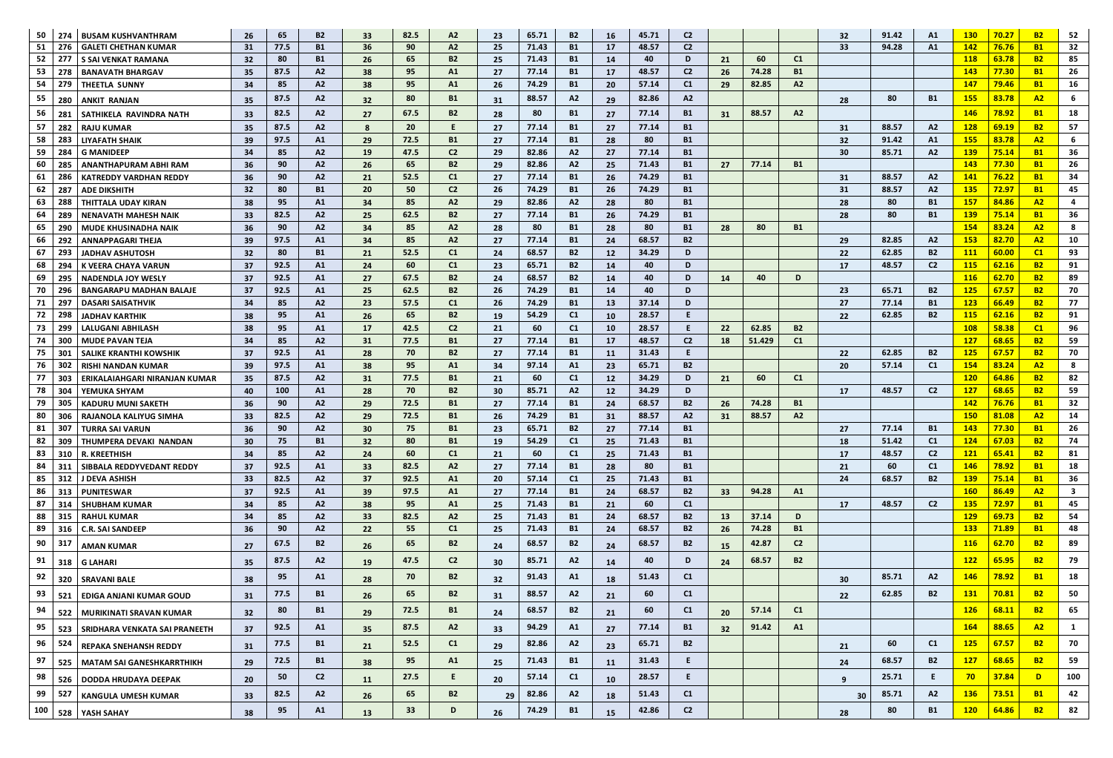| 50  | 274        | <b>BUSAM KUSHVANTHRAM</b>      | 26              | 65               | <b>B2</b>      | 33        | 82.5            | A2             | 23  | 65.71 | <b>B2</b> | 16              | 45.71 | C <sub>2</sub> |           |        |                | 32              | 91.42 | A1             | <b>130</b> | 70.27 | <b>B2</b>      | 52           |
|-----|------------|--------------------------------|-----------------|------------------|----------------|-----------|-----------------|----------------|-----|-------|-----------|-----------------|-------|----------------|-----------|--------|----------------|-----------------|-------|----------------|------------|-------|----------------|--------------|
| 51  | 276        | <b>GALETI CHETHAN KUMAR</b>    | 31              | 77.5             | <b>B1</b>      | 36        | 90              | A2             | 25  | 71.43 | <b>B1</b> | 17              | 48.57 | C <sub>2</sub> |           |        |                | 33              | 94.28 | A1             | <b>142</b> | 76.76 | <b>B1</b>      | 32           |
| 52  | 277        | <b>S SAI VENKAT RAMANA</b>     | 32 <sub>2</sub> | 80               | <b>B1</b>      | 26        | 65              | <b>B2</b>      | 25  | 71.43 | <b>B1</b> | 14              | 40    | D              | 21        | 60     | C1             |                 |       |                | <b>118</b> | 63.78 | <b>B2</b>      | 85           |
| 53  | 278        | <b>BANAVATH BHARGAV</b>        | 35 <sub>2</sub> | 87.5             | A2             | 38        | 95              | A1             | 27  | 77.14 | <b>B1</b> | 17              | 48.57 | C <sub>2</sub> | 26        | 74.28  | <b>B1</b>      |                 |       |                | <b>143</b> | 77.30 | <b>B1</b>      | 26           |
| 54  | 279        | <b>THEETLA SUNNY</b>           | 34              | 85               | A2             | -38       | 95              | A1             | 26  | 74.29 | <b>B1</b> | 20              | 57.14 | C1             | 29        | 82.85  | A2             |                 |       |                | <b>147</b> | 79.46 | <b>B1</b>      | 16           |
| 55  | 280        | <b>ANKIT RANJAN</b>            | 35 <sub>1</sub> | 87.5             | A2             | 32        | 80              | <b>B1</b>      | 31  | 88.57 | A2        | 29              | 82.86 | A2             |           |        |                | 28              | 80    | <b>B1</b>      | <b>155</b> | 83.78 | A2             | -6           |
| 56  | -281       | SATHIKELA RAVINDRA NATH        | 33 <sup>2</sup> | 82.5             | A2             | 27        | 67.5            | <b>B2</b>      | 28  | 80    | <b>B1</b> | 27              | 77.14 | <b>B1</b>      | 31        | 88.57  | A2             |                 |       |                | <b>146</b> | 78.92 | <b>B1</b>      | 18           |
| 57  | 282        | <b>RAJU KUMAR</b>              | 35 <sub>2</sub> | 87.5             | A2             | 8         | 20 <sub>2</sub> |                | 27  | 77.14 | <b>B1</b> | 27              | 77.14 | <b>B1</b>      |           |        |                | 31              | 88.57 | A2             | <b>128</b> | 69.19 | <b>B2</b>      | 57           |
| 58  | 283        | <b>LIYAFATH SHAIK</b>          | 39 <sup>°</sup> | 97.5             | A1             | 29        | 72.5            | <b>B1</b>      | 27  | 77.14 | <b>B1</b> | 28              | 80    | <b>B1</b>      |           |        |                | 32 <sub>2</sub> | 91.42 | A1             | <b>155</b> | 83.78 | A2             | 6            |
| 59  | 284        | <b>G MANIDEEP</b>              | 34 <sup>°</sup> | 85               | A2             | <b>19</b> | 47.5            | C <sub>2</sub> | 29  | 82.86 | A2        | 27              | 77.14 | <b>B1</b>      |           |        |                | 30              | 85.71 | A2             | <b>139</b> | 75.14 | <b>B1</b>      | 36           |
| 60  | 285        | <b>ANANTHAPURAM ABHI RAM</b>   | 36              | 90               | A2             | -26       | 65              | <b>B2</b>      | 29  | 82.86 | A2        | 25              | 71.43 | <b>B1</b>      | 27        | 77.14  | <b>B1</b>      |                 |       |                | <b>143</b> | 77.30 | <b>B1</b>      | 26           |
| 61  | 286        | <b>KATREDDY VARDHAN REDDY</b>  | 36              | 90               | A2             | 21        | 52.5            | C1             | 27  | 77.14 | <b>B1</b> | 26              | 74.29 | <b>B1</b>      |           |        |                | 31              | 88.57 | A2             | <b>141</b> | 76.22 | <b>B1</b>      | 34           |
| 62  | -287       | <b>ADE DIKSHITH</b>            | 32              | 80               | <b>B1</b>      | <b>20</b> | 50              | C2             | -26 | 74.29 | <b>B1</b> | 26              | 74.29 | <b>B1</b>      |           |        |                | 31              | 88.57 | A2             | <b>135</b> | 72.97 | <b>B1</b>      | 45           |
| 63  | 288        | <b>THITTALA UDAY KIRAN</b>     | 38              | 95               | A1             | 34        | 85              | A2             | 29  | 82.86 | A2        | 28              | 80    | <b>B1</b>      |           |        |                | 28              | 80    | <b>B1</b>      | <b>157</b> | 84.86 | A2             |              |
| 64  | 289        | <b>NENAVATH MAHESH NAIK</b>    | 33              | 82.5             | A2             | 25        | 62.5            | <b>B2</b>      | 27  | 77.14 | <b>B1</b> | 26              | 74.29 | <b>B1</b>      |           |        |                | 28              | 80    | <b>B1</b>      | <b>139</b> | 75.14 | <b>B1</b>      | 36           |
| 65  | 290        | <b>MUDE KHUSINADHA NAIK</b>    | 36              | 90               | A2             | 34        | 85              | A2             | 28  | 80    | <b>B1</b> | 28              | 80    | <b>B1</b>      | 28        | 80     | <b>B1</b>      |                 |       |                | <b>154</b> | 83.24 | A2             | 8            |
| 66  | 292        | <b>ANNAPPAGARI THEJA</b>       | 39              | 97.5             | A1             | -34       | 85              | A2             | 27  | 77.14 | <b>B1</b> | 24              | 68.57 | <b>B2</b>      |           |        |                | 29              | 82.85 | A2             | <b>153</b> | 82.70 | A2             | 10           |
| 67  | 293        | <b>JADHAV ASHUTOSH</b>         | 32 <sub>2</sub> | 80               | <b>B1</b>      | 21        | 52.5            | C1             | 24  | 68.57 | <b>B2</b> | 12              | 34.29 | D              |           |        |                | 22              | 62.85 | <b>B2</b>      | <b>111</b> | 60.00 | C1             | 93           |
| 68  | 294        | <b>K VEERA CHAYA VARUN</b>     | 37              | 92.5             | A1             | 24        | 60              | C1             | 23  | 65.71 | <b>B2</b> | 14              | 40    | D              |           |        |                | 17              | 48.57 | C <sub>2</sub> | <b>115</b> | 62.16 | <b>B2</b>      | 91           |
| 69  | 295        | <b>NADENDLA JOY WESLY</b>      | 37              | 92.5             | A1             | 27        | 67.5            | <b>B2</b>      | 24  | 68.57 | <b>B2</b> | 14              | 40    | D              | 14        | 40     | D              |                 |       |                | <b>116</b> | 62.70 | <b>B2</b>      | 89           |
| 70  | 296        | <b>BANGARAPU MADHAN BALAJE</b> | 37              | 92.5             | A1             | 25        | 62.5            | <b>B2</b>      | 26  | 74.29 | <b>B1</b> | 14              | 40    | D              |           |        |                | 23              | 65.71 | <b>B2</b>      | <b>125</b> | 67.57 | <b>B2</b>      | 70           |
| 71  | 297        | <b>DASARI SAISATHVIK</b>       | 34              | 85               | A2             | 23        | 57.5            | C1             | 26  | 74.29 | <b>B1</b> | 13              | 37.14 | D              |           |        |                | 27              | 77.14 | <b>B1</b>      | <b>123</b> | 66.49 | <b>B2</b>      | 77           |
| 72  | 298        | <b>JADHAV KARTHIK</b>          | 38              | 95               | A1             | 26        | 65              | <b>B2</b>      | 19  | 54.29 | C1        | <b>10</b>       | 28.57 | E              |           |        |                | 22 <sub>2</sub> | 62.85 | <b>B2</b>      | <b>115</b> | 62.16 | <b>B2</b>      | 91           |
| 73  | 299        | <b>LALUGANI ABHILASH</b>       | 38              | 95               | A1             | <b>17</b> | 42.5            | C2             | 21  | 60    | C1        | <b>10</b>       | 28.57 | E.             | 22        | 62.85  | <b>B2</b>      |                 |       |                | <b>108</b> | 58.38 | C1             | 96           |
| -74 | 300        | <b>MUDE PAVAN TEJA</b>         | 34              | 85               | A2             | 31        | 77.5            | <b>B1</b>      | 27  | 77.14 | <b>B1</b> | 17              | 48.57 | C <sub>2</sub> | 18        | 51.429 | C1             |                 |       |                | <b>127</b> | 68.65 | <b>B2</b>      | 59           |
| 75  | 301        | <b>SALIKE KRANTHI KOWSHIK</b>  | 37              | 92.5             | A1             | 28        | 70              | <b>B2</b>      | 27  | 77.14 | <b>B1</b> | <b>11</b>       | 31.43 | E.             |           |        |                | 22              | 62.85 | <b>B2</b>      | <b>125</b> | 67.57 | <b>B2</b>      | 70           |
| 76  | 302        | <b>RISHI NANDAN KUMAR</b>      | 39              | 97.5             | A1             | 38        | 95              | A1             | 34  | 97.14 | A1        | 23              | 65.71 | <b>B2</b>      |           |        |                | <b>20</b>       | 57.14 | C <sub>1</sub> | <b>154</b> | 83.24 | A2             | 8            |
| 77  | 303        | ERIKALAIAHGARI NIRANJAN KUMAR  | 35              | 87.5             | A2             | 31        | 77.5            | <b>B1</b>      | 21  | 60    | C1        | <b>12</b>       | 34.29 | D              | 21        | 60     | C1             |                 |       |                | <b>120</b> | 64.86 | <b>B2</b>      | 82           |
| 78  | 304        | <b>YEMUKA SHYAM</b>            | 40              | 100 <sub>1</sub> | A1             | 28        | 70.             |                | 30  | 85.71 | A2        | 12 <sub>1</sub> | 34.29 | D              |           |        |                | 17              | 48.57 | C2             | 127        | 68.65 | R <sub>2</sub> | 59           |
| 79  | 305        | <b>KADURU MUNI SAKETH</b>      | 36              | 90               | A2             | 29        | 72.5            | <b>B1</b>      | 27  | 77.14 | <b>B1</b> | 24              | 68.57 | <b>B2</b>      | 26        | 74.28  | <b>B1</b>      |                 |       |                | 142        | 76.76 | <b>B1</b>      | 32           |
| 80  | 306        | RAJANOLA KALIYUG SIMHA         | 33              | 82.5             | A2             | 29        | 72.5            | <b>B1</b>      | 26  | 74.29 | <b>B1</b> | 31              | 88.57 | A2             | 31        | 88.57  | A2             |                 |       |                | <b>150</b> | 81.08 | A2             | 14           |
| 81  | 307        | <b>TURRA SAI VARUN</b>         | 36              | 90               | A2             | 30        | 75              | <b>B1</b>      | 23  | 65.71 | <b>B2</b> | 27              | 77.14 | <b>B1</b>      |           |        |                | 27              | 77.14 | <b>B1</b>      | <b>143</b> | 77.30 | <b>B1</b>      | 26           |
| 82  | 309        | <b>THUMPERA DEVAKI NANDAN</b>  | 30 <sup>°</sup> | 75               | <b>B1</b>      | 32        | 80              | <b>B1</b>      | 19  | 54.29 | C1        | 25              | 71.43 | <b>B1</b>      |           |        |                | 18              | 51.42 | C <sub>1</sub> | <b>124</b> | 67.03 | <b>B2</b>      | 74           |
| 83  | 310        | <b>R. KREETHISH</b>            | 34              | 85               | A2             | 24        | 60              | C1             | 21  | 60    | C1        | 25              | 71.43 | <b>B1</b>      |           |        |                | 17              | 48.57 | C <sub>2</sub> | <b>121</b> | 65.41 | <b>B2</b>      | 81           |
| 84  | 311        | SIBBALA REDDYVEDANT REDDY      | 37              | 92.5             | A1             | 33        | 82.5            | A2             | 27  | 77.14 | <b>B1</b> | 28              | 80    | <b>B1</b>      |           |        |                | 21              | 60    | C <sub>1</sub> | <b>146</b> | 78.92 | <b>B1</b>      | 18           |
| 85  | 312        | J DEVA ASHISH                  | 33 <sup>°</sup> | 82.5             | A2             | 37        | 92.5            | A1             | 20  | 57.14 | C1        | 25              | 71.43 | <b>B1</b>      |           |        |                | 24              | 68.57 | <b>B2</b>      | <b>139</b> | 75.14 | <b>B1</b>      | 36           |
| 86  | 313        | <b>PUNITESWAR</b>              | 37              | 92.5             | A1             | 39        | 97.5            | A1             | 27  | 77.14 | <b>B1</b> | 24              | 68.57 | <b>B2</b>      | 33        | 94.28  | A1             |                 |       |                | <b>160</b> | 86.49 | A2             | 3            |
| 87  | 314        | <b>SHUBHAM KUMAR</b>           | 34              | 85               | A2             | 38        | 95              | A1             | 25  | 71.43 | <b>B1</b> | 21              | 60    | C1             |           |        |                | 17              | 48.57 | C <sub>2</sub> | <b>135</b> | 72.97 | <b>B1</b>      | 45           |
| 88  | 315        | <b>RAHUL KUMAR</b>             | 34              | 85               | A2             | 33        | 82.5            | A2             | 25  | 71.43 | <b>B1</b> | 24              | 68.57 | <b>B2</b>      | 13        | 37.14  | D              |                 |       |                | <b>129</b> | 69.73 | <b>B2</b>      | 54           |
| 89  | 316        | <b>C.R. SAI SANDEEP</b>        | 36              | 90               | A2             | <b>22</b> | 55              | C1             | 25  | 71.43 | <b>B1</b> | 24              | 68.57 | <b>B2</b>      | <b>26</b> | 74.28  | <b>B1</b>      |                 |       |                | <b>133</b> | 71.89 | <b>B1</b>      | 48           |
| 90  | 317        | <b>AMAN KUMAR</b>              | 27              | 67.5             | <b>B2</b>      | 26        | 65              | <b>B2</b>      | 24  | 68.57 | <b>B2</b> | 24              | 68.57 | <b>B2</b>      | 15        | 42.87  | C <sub>2</sub> |                 |       |                | <b>116</b> | 62.70 | <b>B2</b>      | 89           |
| 91  | 318        | <b>G LAHARI</b>                | 35              | 87.5             | A2             | <b>19</b> | 47.5            | C2             | 30  | 85.71 | A2        | 14              | 40    | D              | 24        | 68.57  | <b>B2</b>      |                 |       |                | <b>122</b> | 65.95 | <b>B2</b>      | 79           |
| 92  | 320        | <b>SRAVANI BALE</b>            | 38              | 95               | A1             | 28        | 70              | <b>B2</b>      | 32  | 91.43 | A1        | 18              | 51.43 | C1             |           |        |                | 30 <sub>o</sub> | 85.71 | A2             | <b>146</b> | 78.92 | <b>B1</b>      | 18           |
| 93  | 521        | <b>EDIGA ANJANI KUMAR GOUD</b> | 31              | 77.5             | <b>B1</b>      | 26        | 65              | <b>B2</b>      | 31  | 88.57 | A2        | 21              | 60    | C1             |           |        |                | 22              | 62.85 | <b>B2</b>      | <b>131</b> | 70.81 | <b>B2</b>      | 50           |
| 94  | 522        | MURIKINATI SRAVAN KUMAR        | 32 <sub>2</sub> | 80               | <b>B1</b>      | 29        | 72.5            | <b>B1</b>      | 24  | 68.57 | <b>B2</b> | 21              | 60    | C1             | 20        | 57.14  | C1             |                 |       |                | <b>126</b> | 68.11 | <b>B2</b>      | 65           |
| 95  |            | SRIDHARA VENKATA SAI PRANEETH  |                 | 92.5             | A1             |           | 87.5            | A2             | 33  | 94.29 | A1        | 27              | 77.14 | <b>B1</b>      | 32        | 91.42  | A1             |                 |       |                | <b>164</b> | 88.65 | A2             | $\mathbf{1}$ |
| 96  | 523<br>524 |                                | 37              | 77.5             | <b>B1</b>      | 35        | 52.5            | C1             |     | 82.86 | A2        |                 | 65.71 | <b>B2</b>      |           |        |                |                 | 60    | C <sub>1</sub> | <b>125</b> | 67.57 | <b>B2</b>      | 70           |
|     |            | <b>REPAKA SNEHANSH REDDY</b>   | 31              |                  |                | 21        | 95              |                | 29  | 71.43 |           | 23              | 31.43 | E.             |           |        |                | 21              | 68.57 |                | <b>127</b> | 68.65 | <b>B2</b>      | 59           |
| 97  | 525        | MATAM SAI GANESHKARRTHIKH      | 29              | 72.5             | <b>B1</b>      | 38        |                 | A1             | 25  |       | <b>B1</b> | <b>11</b>       |       |                |           |        |                | 24              |       | <b>B2</b>      |            |       |                |              |
| 98  | 526        | <b>DODDA HRUDAYA DEEPAK</b>    | 20 <sub>2</sub> | 50               | C <sub>2</sub> | <b>11</b> | 27.5            | Ε.             | 20  | 57.14 | C1        | 10              | 28.57 | E.             |           |        |                | $\mathbf{q}$    | 25.71 | E.             | 70         | 37.84 | D              | 100          |
| 99  | 527        | <b>KANGULA UMESH KUMAR</b>     | 33              | 82.5             | A2             | 26        | 65              | <b>B2</b>      | 29  | 82.86 | A2        | 18              | 51.43 | C1             |           |        |                | 30              | 85.71 | A2             | <b>136</b> | 73.51 | <b>B1</b>      | 42           |
| 100 |            | 528 YASH SAHAY                 | 38              | 95               | A1             | 13        | 33 <sup>2</sup> | D              | 26  | 74.29 | <b>B1</b> | 15              | 42.86 | C <sub>2</sub> |           |        |                | 28              | 80    | <b>B1</b>      | <b>120</b> | 64.86 | <b>B2</b>      | 82           |